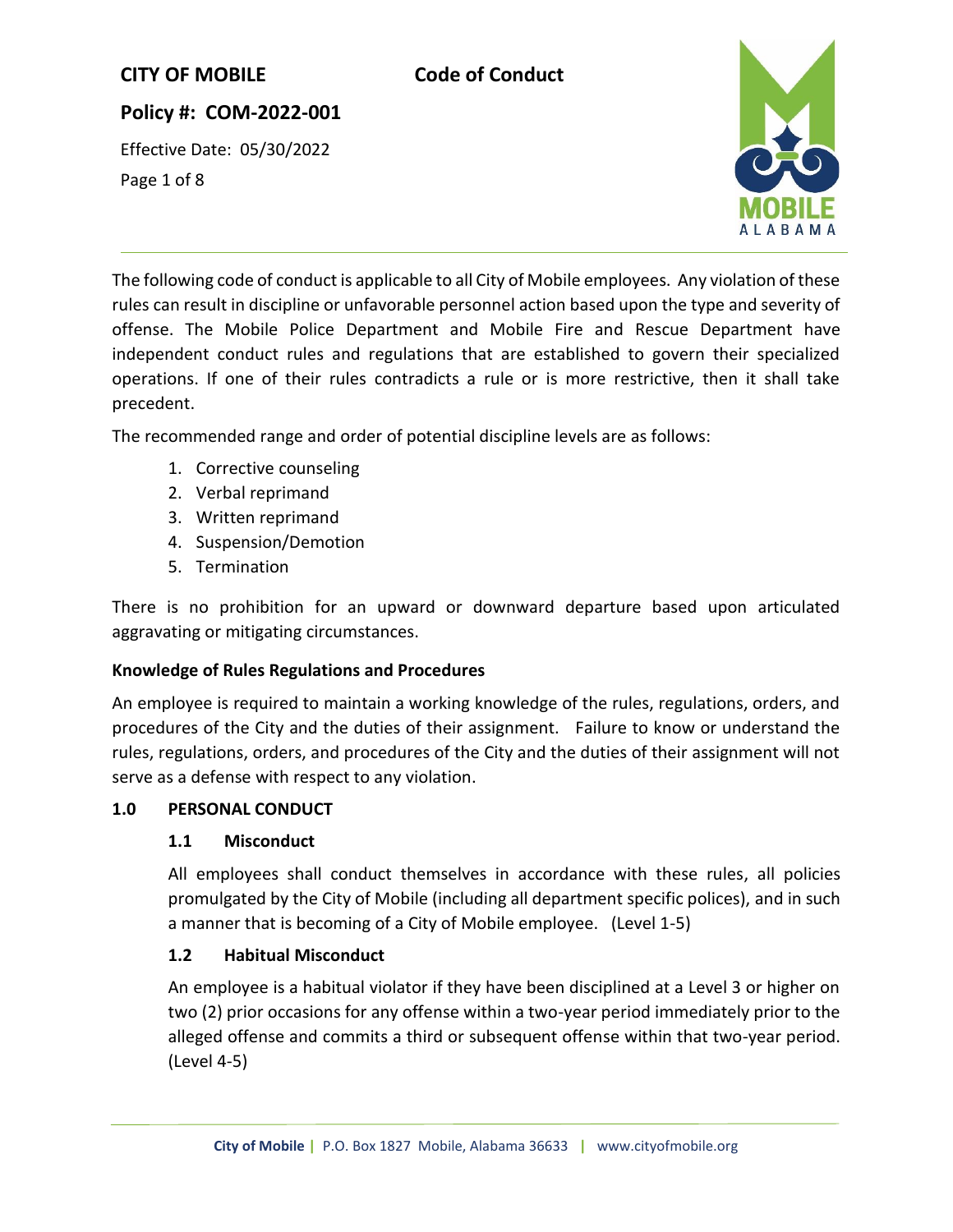## **Policy #: COM-2022-001**

Effective Date: 05/30/2022 Page 1 of 8



The following code of conduct is applicable to all City of Mobile employees. Any violation of these rules can result in discipline or unfavorable personnel action based upon the type and severity of offense. The Mobile Police Department and Mobile Fire and Rescue Department have independent conduct rules and regulations that are established to govern their specialized operations. If one of their rules contradicts a rule or is more restrictive, then it shall take precedent.

The recommended range and order of potential discipline levels are as follows:

- 1. Corrective counseling
- 2. Verbal reprimand
- 3. Written reprimand
- 4. Suspension/Demotion
- 5. Termination

There is no prohibition for an upward or downward departure based upon articulated aggravating or mitigating circumstances.

### **Knowledge of Rules Regulations and Procedures**

An employee is required to maintain a working knowledge of the rules, regulations, orders, and procedures of the City and the duties of their assignment. Failure to know or understand the rules, regulations, orders, and procedures of the City and the duties of their assignment will not serve as a defense with respect to any violation.

#### **1.0 PERSONAL CONDUCT**

#### **1.1 Misconduct**

All employees shall conduct themselves in accordance with these rules, all policies promulgated by the City of Mobile (including all department specific polices), and in such a manner that is becoming of a City of Mobile employee. (Level 1-5)

### **1.2 Habitual Misconduct**

An employee is a habitual violator if they have been disciplined at a Level 3 or higher on two (2) prior occasions for any offense within a two-year period immediately prior to the alleged offense and commits a third or subsequent offense within that two-year period. (Level 4-5)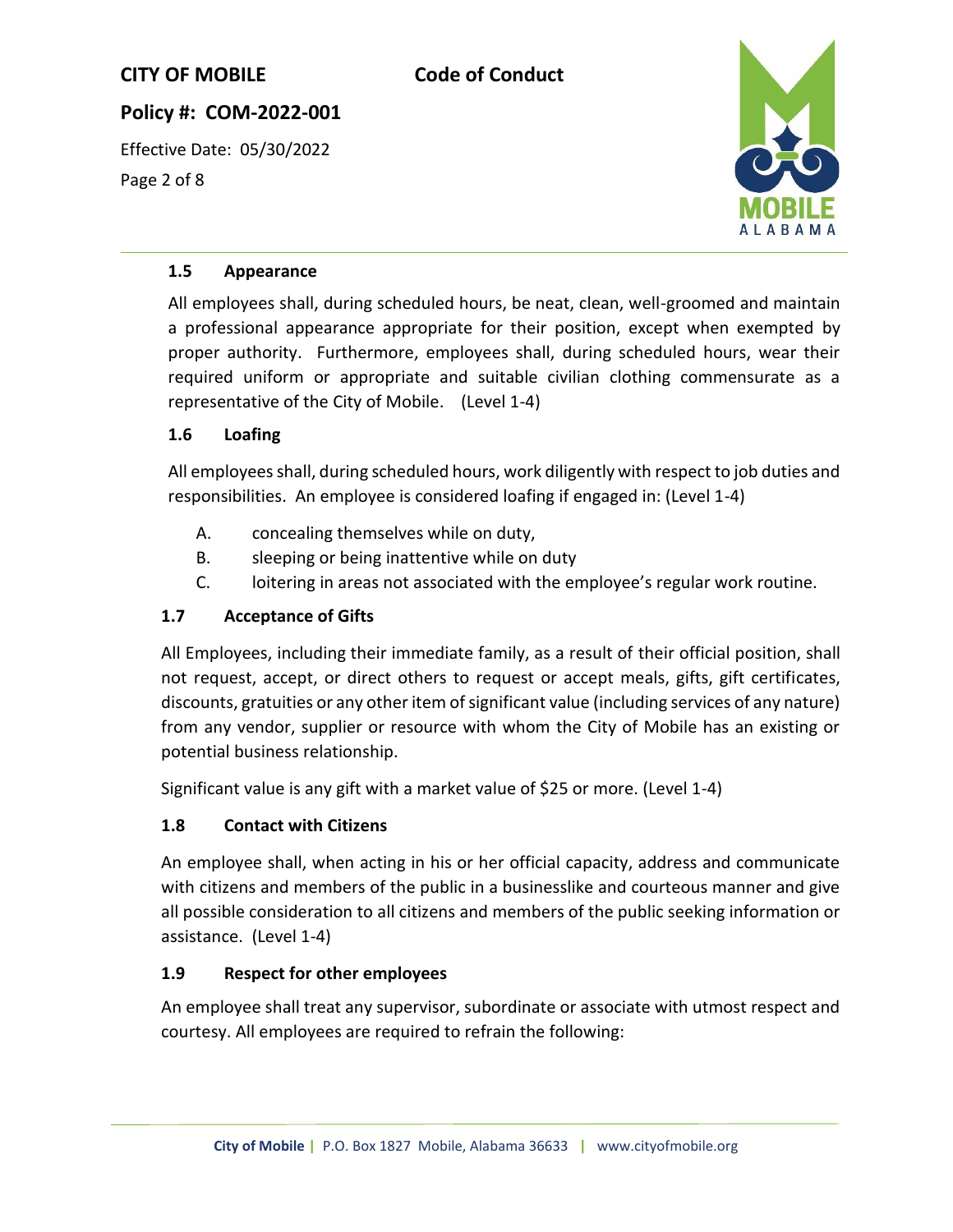## **Policy #: COM-2022-001**

Effective Date: 05/30/2022 Page 2 of 8



#### **1.5 Appearance**

All employees shall, during scheduled hours, be neat, clean, well-groomed and maintain a professional appearance appropriate for their position, except when exempted by proper authority. Furthermore, employees shall, during scheduled hours, wear their required uniform or appropriate and suitable civilian clothing commensurate as a representative of the City of Mobile. (Level 1-4)

### **1.6 Loafing**

All employees shall, during scheduled hours, work diligently with respect to job duties and responsibilities. An employee is considered loafing if engaged in: (Level 1-4)

- A. concealing themselves while on duty,
- B. sleeping or being inattentive while on duty
- C. loitering in areas not associated with the employee's regular work routine.

### **1.7 Acceptance of Gifts**

All Employees, including their immediate family, as a result of their official position, shall not request, accept, or direct others to request or accept meals, gifts, gift certificates, discounts, gratuities or any other item of significant value (including services of any nature) from any vendor, supplier or resource with whom the City of Mobile has an existing or potential business relationship.

Significant value is any gift with a market value of \$25 or more. (Level 1-4)

### **1.8 Contact with Citizens**

An employee shall, when acting in his or her official capacity, address and communicate with citizens and members of the public in a businesslike and courteous manner and give all possible consideration to all citizens and members of the public seeking information or assistance. (Level 1-4)

### **1.9 Respect for other employees**

An employee shall treat any supervisor, subordinate or associate with utmost respect and courtesy. All employees are required to refrain the following: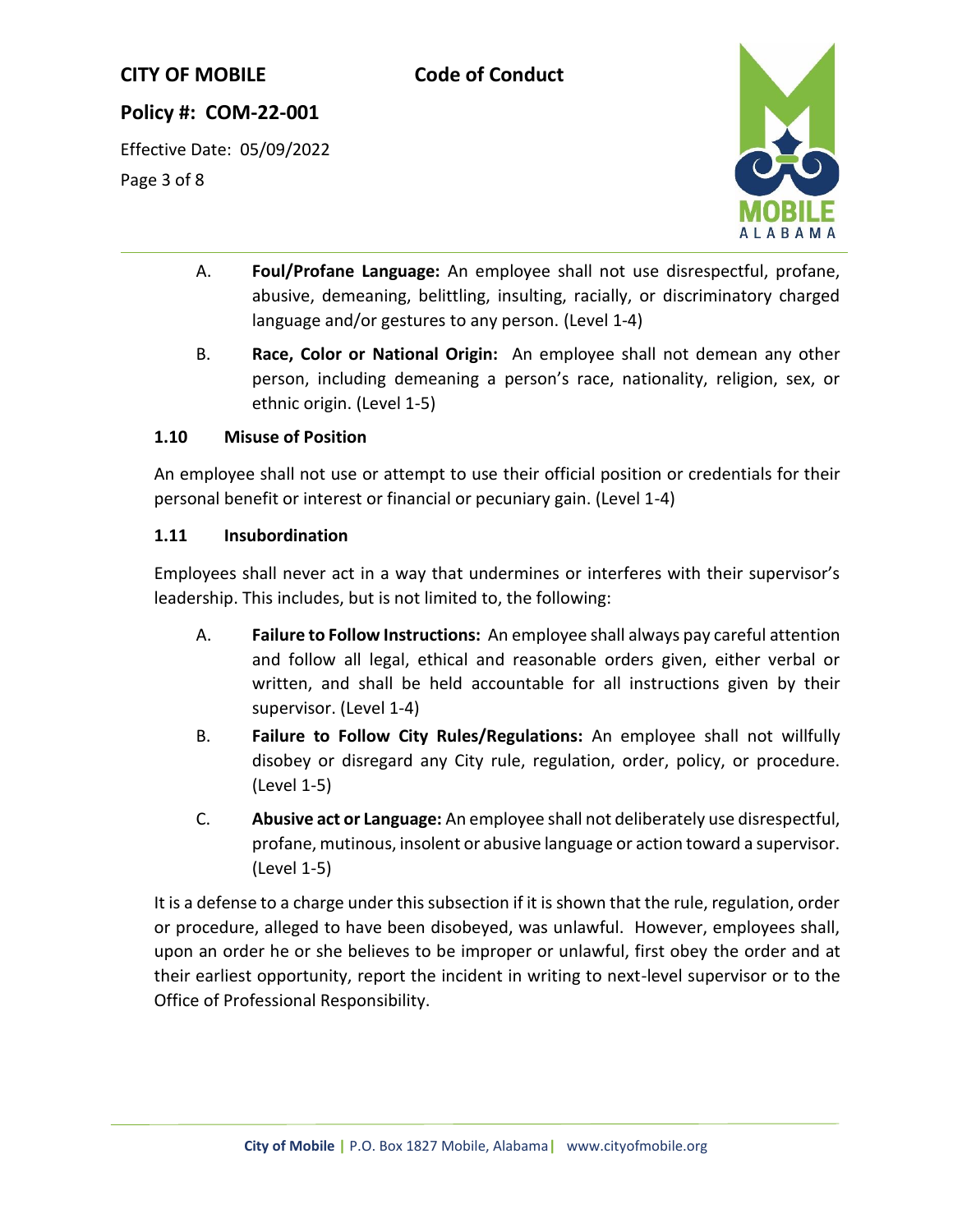## **Policy #: COM-22-001**

Effective Date: 05/09/2022 Page 3 of 8



- A. **Foul/Profane Language:** An employee shall not use disrespectful, profane, abusive, demeaning, belittling, insulting, racially, or discriminatory charged language and/or gestures to any person. (Level 1-4)
- B. **Race, Color or National Origin:** An employee shall not demean any other person, including demeaning a person's race, nationality, religion, sex, or ethnic origin. (Level 1-5)

#### **1.10 Misuse of Position**

An employee shall not use or attempt to use their official position or credentials for their personal benefit or interest or financial or pecuniary gain. (Level 1-4)

#### **1.11 Insubordination**

Employees shall never act in a way that undermines or interferes with their supervisor's leadership. This includes, but is not limited to, the following:

- A. **Failure to Follow Instructions:** An employee shall always pay careful attention and follow all legal, ethical and reasonable orders given, either verbal or written, and shall be held accountable for all instructions given by their supervisor. (Level 1-4)
- B. **Failure to Follow City Rules/Regulations:** An employee shall not willfully disobey or disregard any City rule, regulation, order, policy, or procedure. (Level 1-5)
- C. **Abusive act or Language:** An employee shall not deliberately use disrespectful, profane, mutinous, insolent or abusive language or action toward a supervisor. (Level 1-5)

It is a defense to a charge under this subsection if it is shown that the rule, regulation, order or procedure, alleged to have been disobeyed, was unlawful. However, employees shall, upon an order he or she believes to be improper or unlawful, first obey the order and at their earliest opportunity, report the incident in writing to next-level supervisor or to the Office of Professional Responsibility.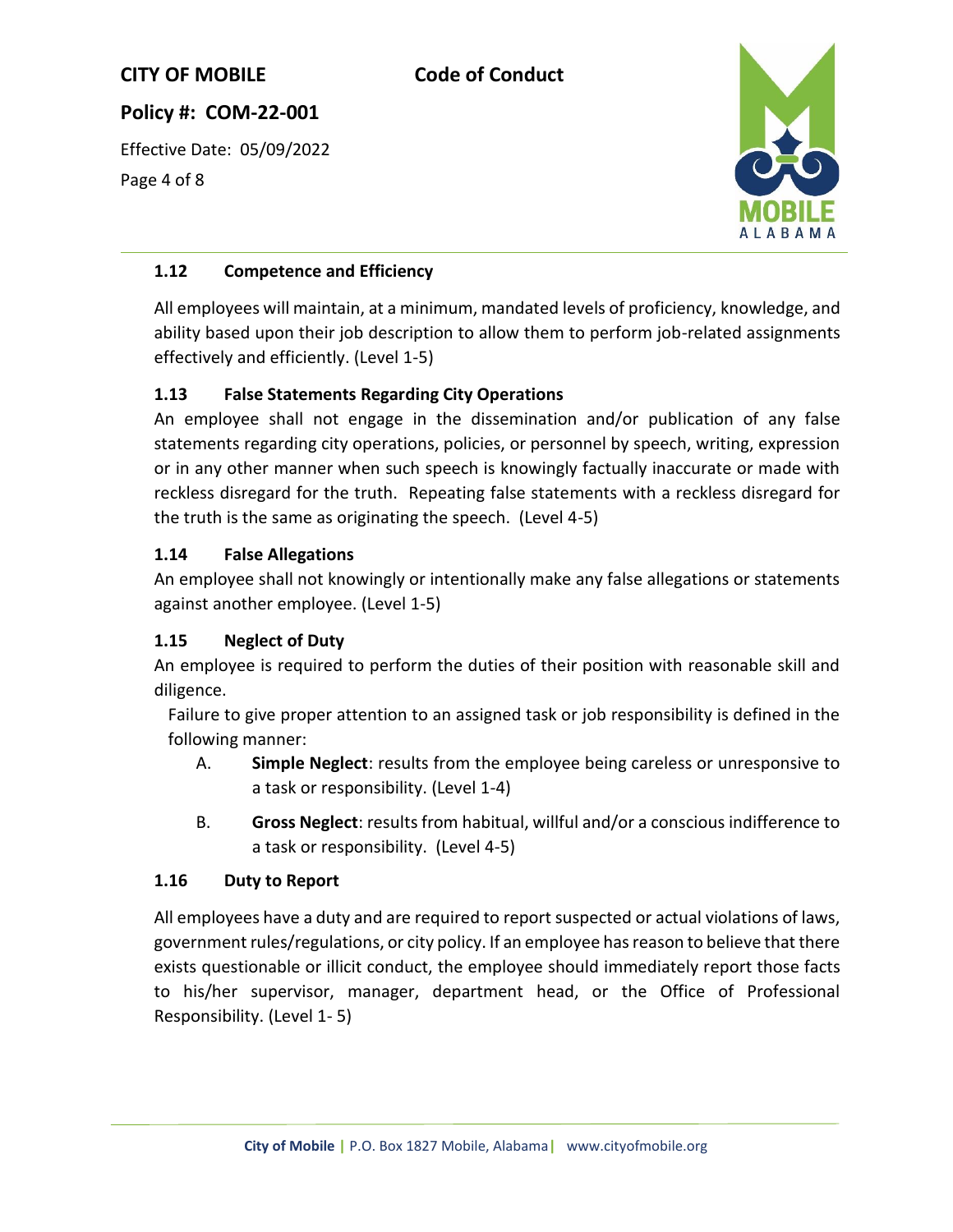**Policy #: COM-22-001**

Effective Date: 05/09/2022 Page 4 of 8



## **1.12 Competence and Efficiency**

All employees will maintain, at a minimum, mandated levels of proficiency, knowledge, and ability based upon their job description to allow them to perform job-related assignments effectively and efficiently. (Level 1-5)

## **1.13 False Statements Regarding City Operations**

An employee shall not engage in the dissemination and/or publication of any false statements regarding city operations, policies, or personnel by speech, writing, expression or in any other manner when such speech is knowingly factually inaccurate or made with reckless disregard for the truth. Repeating false statements with a reckless disregard for the truth is the same as originating the speech. (Level 4-5)

### **1.14 False Allegations**

An employee shall not knowingly or intentionally make any false allegations or statements against another employee. (Level 1-5)

### **1.15 Neglect of Duty**

An employee is required to perform the duties of their position with reasonable skill and diligence.

Failure to give proper attention to an assigned task or job responsibility is defined in the following manner:

- A. **Simple Neglect**: results from the employee being careless or unresponsive to a task or responsibility. (Level 1-4)
- B. **Gross Neglect**: results from habitual, willful and/or a conscious indifference to a task or responsibility. (Level 4-5)

### **1.16 Duty to Report**

All employees have a duty and are required to report suspected or actual violations of laws, government rules/regulations, or city policy. If an employee has reason to believe that there exists questionable or illicit conduct, the employee should immediately report those facts to his/her supervisor, manager, department head, or the Office of Professional Responsibility. (Level 1- 5)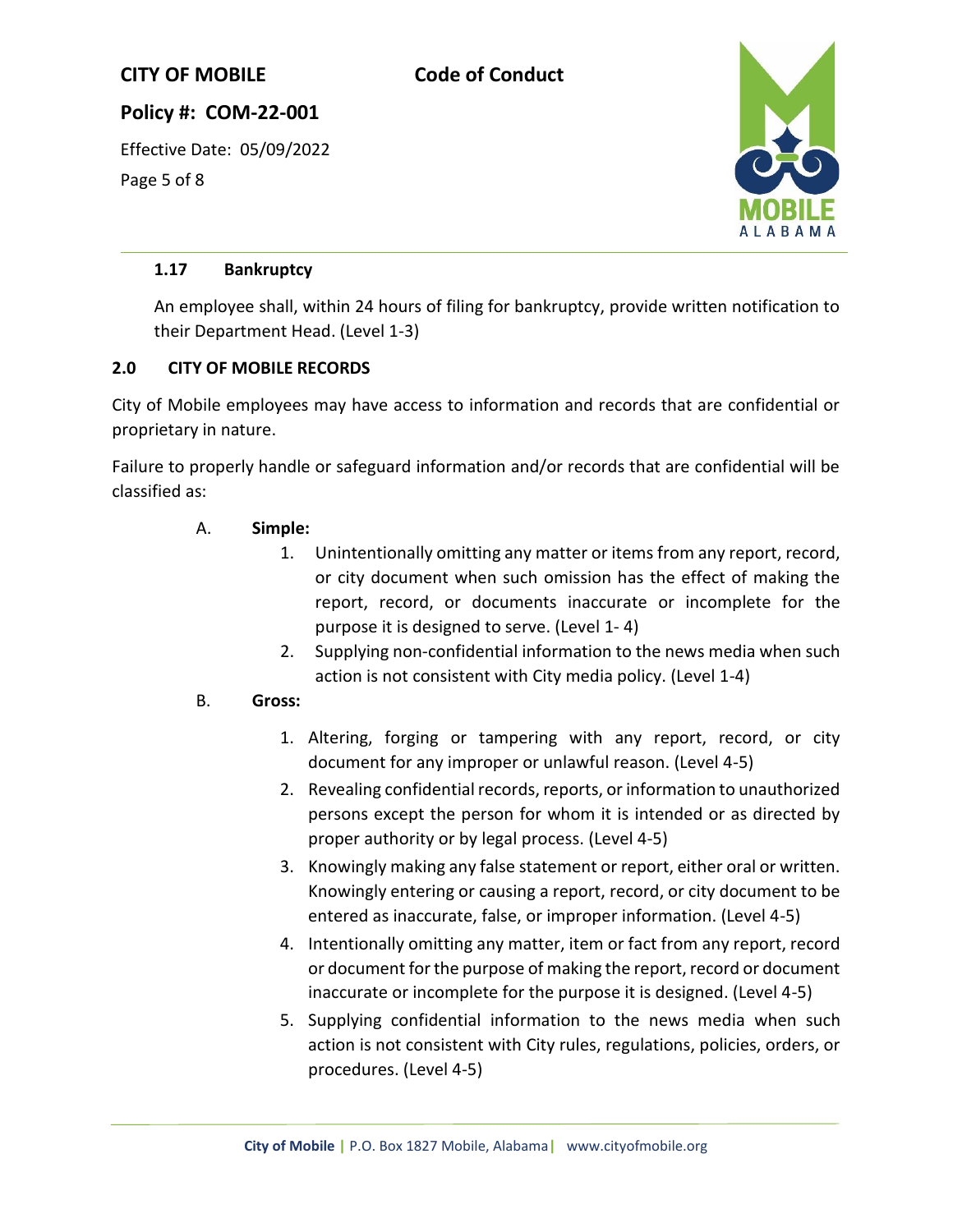# **Policy #: COM-22-001**

Effective Date: 05/09/2022 Page 5 of 8



### **1.17 Bankruptcy**

An employee shall, within 24 hours of filing for bankruptcy, provide written notification to their Department Head. (Level 1-3)

## **2.0 CITY OF MOBILE RECORDS**

City of Mobile employees may have access to information and records that are confidential or proprietary in nature.

Failure to properly handle or safeguard information and/or records that are confidential will be classified as:

### A. **Simple:**

- 1. Unintentionally omitting any matter or items from any report, record, or city document when such omission has the effect of making the report, record, or documents inaccurate or incomplete for the purpose it is designed to serve. (Level 1- 4)
- 2. Supplying non-confidential information to the news media when such action is not consistent with City media policy. (Level 1-4)

### B. **Gross:**

- 1. Altering, forging or tampering with any report, record, or city document for any improper or unlawful reason. (Level 4-5)
- 2. Revealing confidential records, reports, or information to unauthorized persons except the person for whom it is intended or as directed by proper authority or by legal process. (Level 4-5)
- 3. Knowingly making any false statement or report, either oral or written. Knowingly entering or causing a report, record, or city document to be entered as inaccurate, false, or improper information. (Level 4-5)
- 4. Intentionally omitting any matter, item or fact from any report, record or document for the purpose of making the report, record or document inaccurate or incomplete for the purpose it is designed. (Level 4-5)
- 5. Supplying confidential information to the news media when such action is not consistent with City rules, regulations, policies, orders, or procedures. (Level 4-5)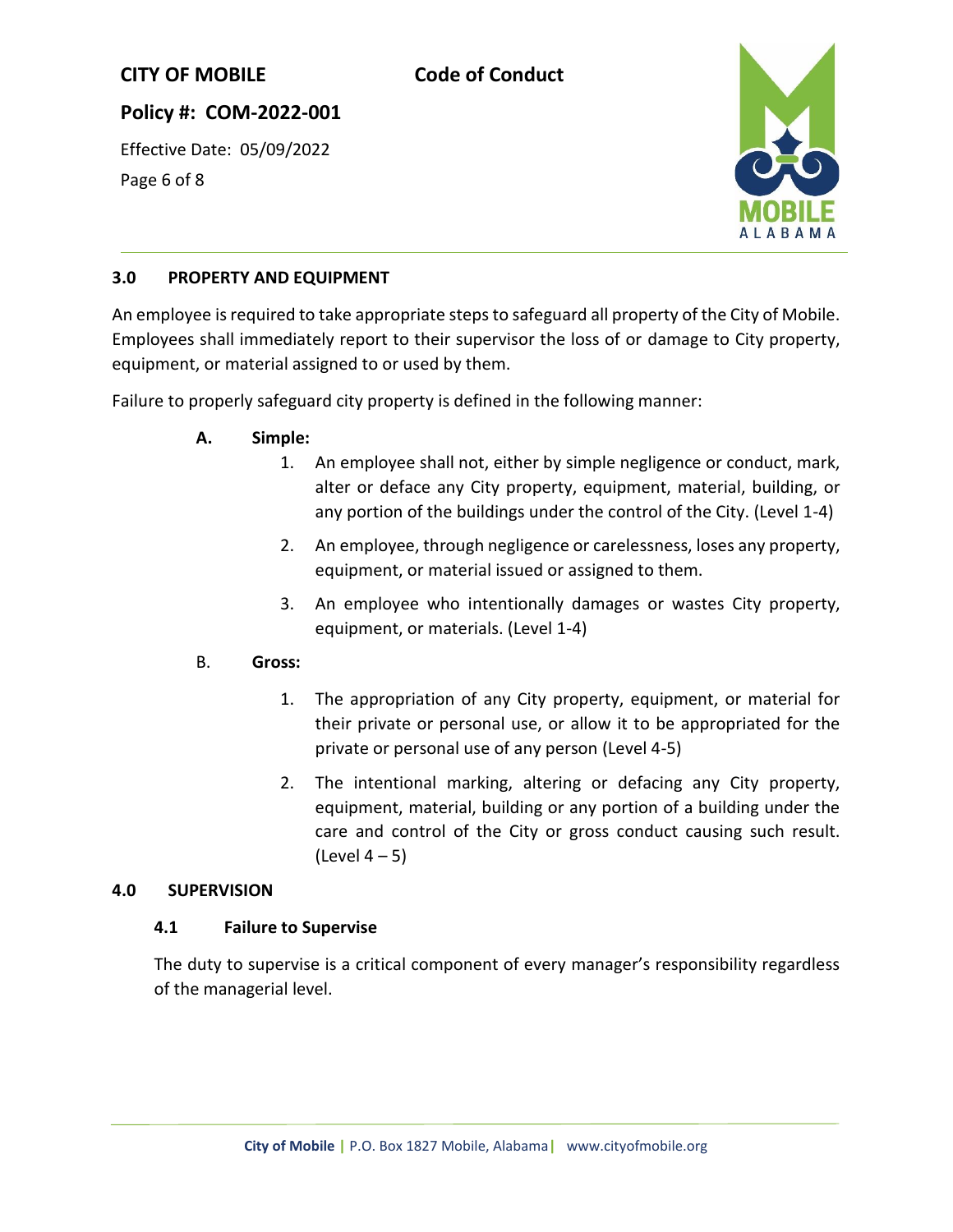# **Policy #: COM-2022-001**

Effective Date: 05/09/2022 Page 6 of 8



## **3.0 PROPERTY AND EQUIPMENT**

An employee is required to take appropriate steps to safeguard all property of the City of Mobile. Employees shall immediately report to their supervisor the loss of or damage to City property, equipment, or material assigned to or used by them.

Failure to properly safeguard city property is defined in the following manner:

- **A. Simple:**
	- 1. An employee shall not, either by simple negligence or conduct, mark, alter or deface any City property, equipment, material, building, or any portion of the buildings under the control of the City. (Level 1-4)
	- 2. An employee, through negligence or carelessness, loses any property, equipment, or material issued or assigned to them.
	- 3. An employee who intentionally damages or wastes City property, equipment, or materials. (Level 1-4)

### B. **Gross:**

- 1. The appropriation of any City property, equipment, or material for their private or personal use, or allow it to be appropriated for the private or personal use of any person (Level 4-5)
- 2. The intentional marking, altering or defacing any City property, equipment, material, building or any portion of a building under the care and control of the City or gross conduct causing such result. (Level  $4-5$ )

#### **4.0 SUPERVISION**

### **4.1 Failure to Supervise**

The duty to supervise is a critical component of every manager's responsibility regardless of the managerial level.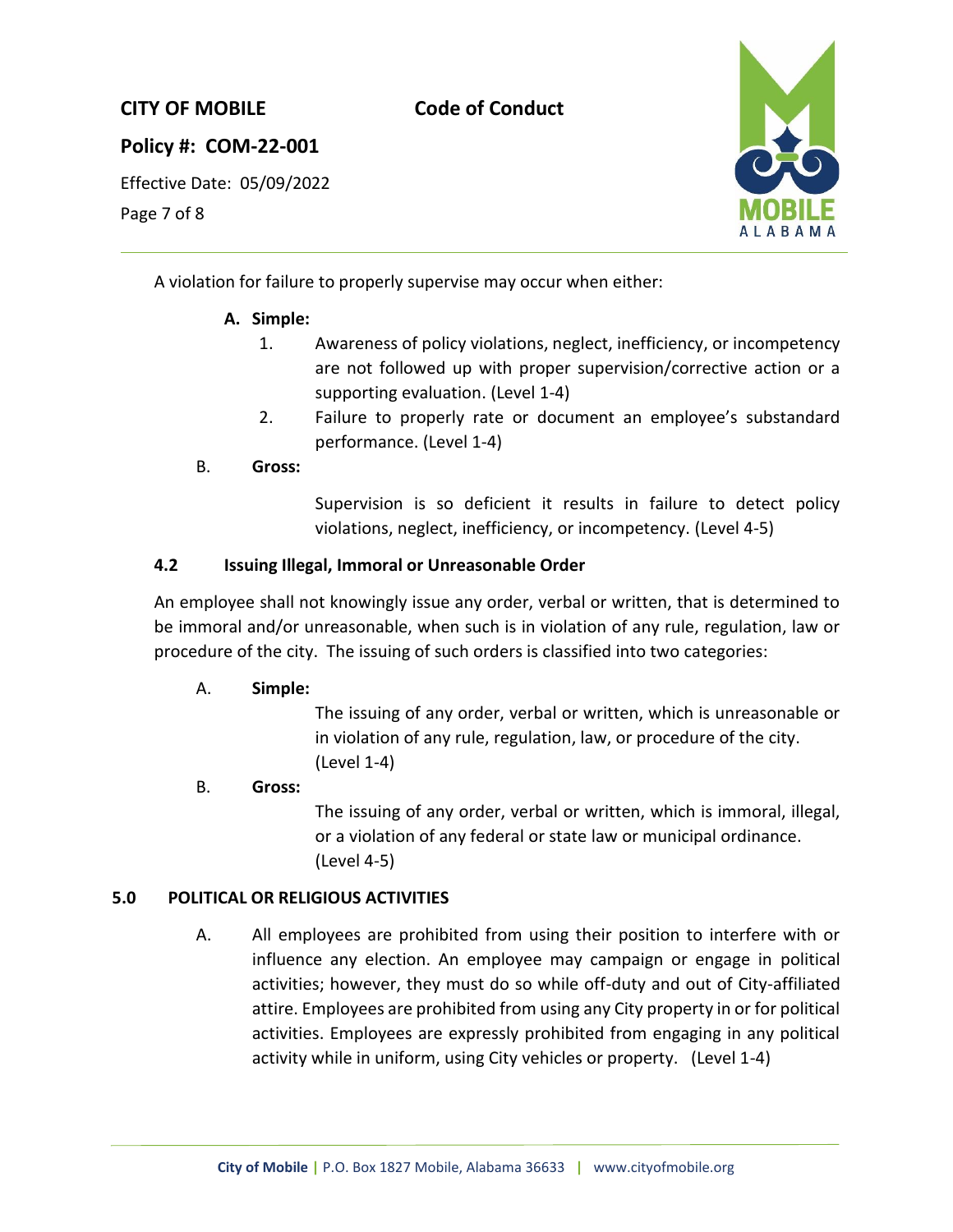## **Policy #: COM-22-001**

Effective Date: 05/09/2022

Page 7 of 8



A violation for failure to properly supervise may occur when either:

## **A. Simple:**

- 1. Awareness of policy violations, neglect, inefficiency, or incompetency are not followed up with proper supervision/corrective action or a supporting evaluation. (Level 1-4)
- 2. Failure to properly rate or document an employee's substandard performance. (Level 1-4)

### B. **Gross:**

Supervision is so deficient it results in failure to detect policy violations, neglect, inefficiency, or incompetency. (Level 4-5)

### **4.2 Issuing Illegal, Immoral or Unreasonable Order**

An employee shall not knowingly issue any order, verbal or written, that is determined to be immoral and/or unreasonable, when such is in violation of any rule, regulation, law or procedure of the city. The issuing of such orders is classified into two categories:

### A. **Simple:**

The issuing of any order, verbal or written, which is unreasonable or in violation of any rule, regulation, law, or procedure of the city. (Level 1-4)

### B. **Gross:**

The issuing of any order, verbal or written, which is immoral, illegal, or a violation of any federal or state law or municipal ordinance. (Level 4-5)

### **5.0 POLITICAL OR RELIGIOUS ACTIVITIES**

A. All employees are prohibited from using their position to interfere with or influence any election. An employee may campaign or engage in political activities; however, they must do so while off-duty and out of City-affiliated attire. Employees are prohibited from using any City property in or for political activities. Employees are expressly prohibited from engaging in any political activity while in uniform, using City vehicles or property. (Level 1-4)